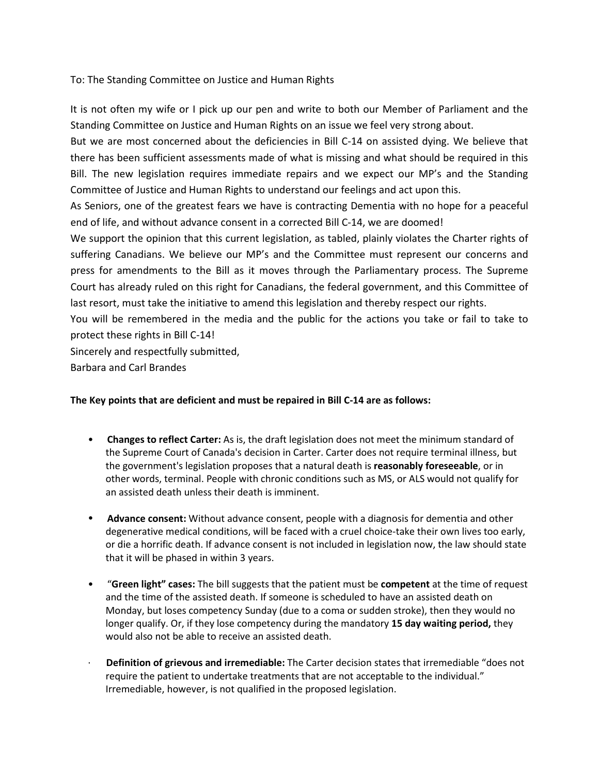To: The Standing Committee on Justice and Human Rights

It is not often my wife or I pick up our pen and write to both our Member of Parliament and the Standing Committee on Justice and Human Rights on an issue we feel very strong about.

But we are most concerned about the deficiencies in Bill C-14 on assisted dying. We believe that there has been sufficient assessments made of what is missing and what should be required in this Bill. The new legislation requires immediate repairs and we expect our MP's and the Standing Committee of Justice and Human Rights to understand our feelings and act upon this.

As Seniors, one of the greatest fears we have is contracting Dementia with no hope for a peaceful end of life, and without advance consent in a corrected Bill C-14, we are doomed!

We support the opinion that this current legislation, as tabled, plainly violates the Charter rights of suffering Canadians. We believe our MP's and the Committee must represent our concerns and press for amendments to the Bill as it moves through the Parliamentary process. The Supreme Court has already ruled on this right for Canadians, the federal government, and this Committee of last resort, must take the initiative to amend this legislation and thereby respect our rights.

You will be remembered in the media and the public for the actions you take or fail to take to protect these rights in Bill C-14!

Sincerely and respectfully submitted,

Barbara and Carl Brandes

## **The Key points that are deficient and must be repaired in Bill C-14 are as follows:**

- **Changes to reflect Carter:** As is, the draft legislation does not meet the minimum standard of the Supreme Court of Canada's decision in Carter. Carter does not require terminal illness, but the government's legislation proposes that a natural death is **reasonably foreseeable**, or in other words, terminal. People with chronic conditions such as MS, or ALS would not qualify for an assisted death unless their death is imminent.
- **Advance consent:** Without advance consent, people with a diagnosis for dementia and other degenerative medical conditions, will be faced with a cruel choice-take their own lives too early, or die a horrific death. If advance consent is not included in legislation now, the law should state that it will be phased in within 3 years.
- "**Green light" cases:** The bill suggests that the patient must be **competent** at the time of request and the time of the assisted death. If someone is scheduled to have an assisted death on Monday, but loses competency Sunday (due to a coma or sudden stroke), then they would no longer qualify. Or, if they lose competency during the mandatory **15 day waiting period,** they would also not be able to receive an assisted death.
- · **Definition of grievous and irremediable:** The Carter decision states that irremediable "does not require the patient to undertake treatments that are not acceptable to the individual." Irremediable, however, is not qualified in the proposed legislation.